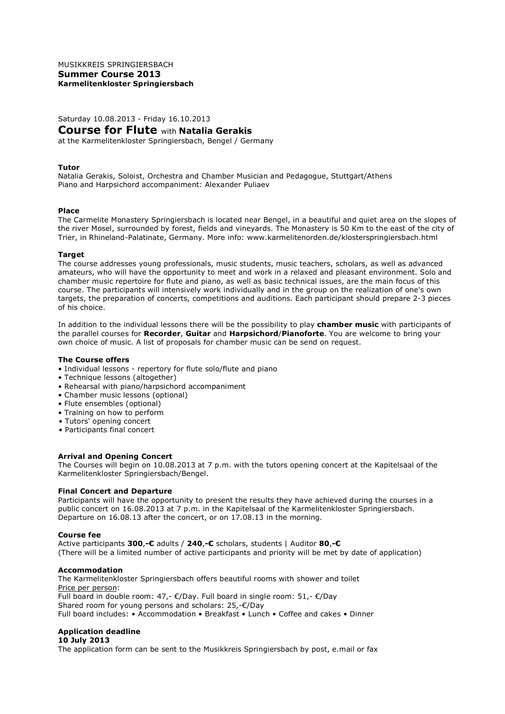MUSIKKREIS SPRINGIERSBACH **Summer Course 2013 Karmelitenkloster Springiersbach**

Saturday 10.08.2013 - Friday 16.10.2013

# **Course for Flute** with **Natalia Gerakis**

at the Karmelitenkloster Springiersbach, Bengel / Germany

## **Tutor**

Natalia Gerakis, Soloist, Orchestra and Chamber Musician and Pedagogue, Stuttgart/Athens Piano and Harpsichord accompaniment: Alexander Puliaev

### **Place**

The Carmelite Monastery Springiersbach is located near Bengel, in a beautiful and quiet area on the slopes of the river Mosel, surrounded by forest, fields and vineyards. The Monastery is 50 Km to the east of the city of Trier, in Rhineland-Palatinate, Germany. More info: www.karmelitenorden.de/klosterspringiersbach.html

### **Target**

The course addresses young professionals, music students, music teachers, scholars, as well as advanced amateurs, who will have the opportunity to meet and work in a relaxed and pleasant environment. Solo and chamber music repertoire for flute and piano, as well as basic technical issues, are the main focus of this course. The participants will intensively work individually and in the group on the realization of one's own targets, the preparation of concerts, competitions and auditions. Each participant should prepare 2-3 pieces of his choice.

In addition to the individual lessons there will be the possibility to play **chamber music** with participants of the parallel courses for **Recorder**, **Guitar** and **Harpsichord**/**Pianoforte**. You are welcome to bring your own choice of music. A list of proposals for chamber music can be send on request.

# **The Course offers**

- Individual lessons repertory for flute solo/flute and piano
- Technique lessons (altogether)
- Rehearsal with piano/harpsichord accompaniment
- Chamber music lessons (optional)
- Flute ensembles (optional)
- Training on how to perform
- Tutors' opening concert
- Participants final concert

## **Arrival and Opening Concert**

The Courses will begin on 10.08.2013 at 7 p.m. with the tutors opening concert at the Kapitelsaal of the Karmelitenkloster Springiersbach/Bengel.

## **Final Concert and Departure**

Participants will have the opportunity to present the results they have achieved during the courses in a public concert on 16.08.2013 at 7 p.m. in the Kapitelsaal of the Karmelitenkloster Springiersbach. Departure on 16.08.13 after the concert, or on 17.08.13 in the morning.

#### **Course fee**

Active participants **300**,**-€** adults / **240**,**-€** scholars, students | Auditor **80**,**-€** (There will be a limited number of active participants and priority will be met by date of application)

#### **Accommodation**

The Karmelitenkloster Springiersbach offers beautiful rooms with shower and toilet Price per person: Full board in double room:  $47,$ - €/Day. Full board in single room:  $51,$ - €/Day Shared room for young persons and scholars: 25,-€/Day Full board includes: • Accommodation • Breakfast • Lunch • Coffee and cakes • Dinner

## **Application deadline**

#### **10 July 2013**

The application form can be sent to the Musikkreis Springiersbach by post, e.mail or fax